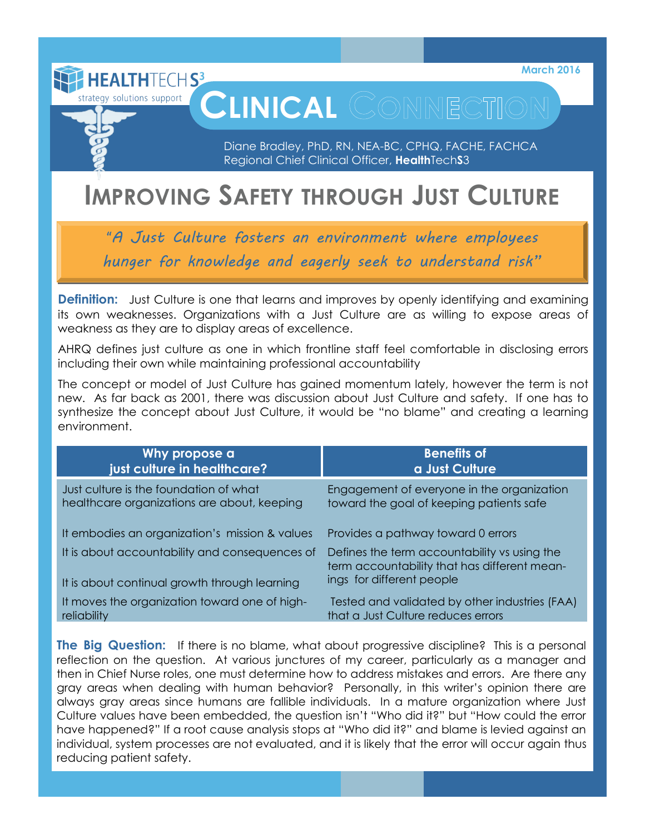**March 2016**

# **CLINICAL** COMMECTION

Diane Bradley, PhD, RN, NEA-BC, CPHQ, FACHE, FACHCA Regional Chief Clinical Officer, **Health**Tech**S**3

## **IMPROVING SAFETY THROUGH JUST CULTURE**

strategy solutions support

"*A Just Culture fosters an environment where employees hunger for knowledge and eagerly seek to understand risk"* 

**Definition:** Just Culture is one that learns and improves by openly identifying and examining its own weaknesses. Organizations with a Just Culture are as willing to expose areas of weakness as they are to display areas of excellence.

AHRQ defines just culture as one in which frontline staff feel comfortable in disclosing errors including their own while maintaining professional accountability

The concept or model of Just Culture has gained momentum lately, however the term is not new. As far back as 2001, there was discussion about Just Culture and safety. If one has to synthesize the concept about Just Culture, it would be "no blame" and creating a learning environment.

| Why propose a                                                                                   | <b>Benefits of</b>                                                                                                        |
|-------------------------------------------------------------------------------------------------|---------------------------------------------------------------------------------------------------------------------------|
| just culture in healthcare?                                                                     | a Just Culture                                                                                                            |
| Just culture is the foundation of what                                                          | Engagement of everyone in the organization                                                                                |
| healthcare organizations are about, keeping                                                     | toward the goal of keeping patients safe                                                                                  |
| It embodies an organization's mission & values                                                  | Provides a pathway toward 0 errors                                                                                        |
| It is about accountability and consequences of<br>It is about continual growth through learning | Defines the term accountability vs using the<br>term accountability that has different mean-<br>ings for different people |
| It moves the organization toward one of high-                                                   | Tested and validated by other industries (FAA)                                                                            |
| reliability                                                                                     | that a Just Culture reduces errors                                                                                        |

**The Big Question:** If there is no blame, what about progressive discipline? This is a personal reflection on the question. At various junctures of my career, particularly as a manager and then in Chief Nurse roles, one must determine how to address mistakes and errors. Are there any gray areas when dealing with human behavior? Personally, in this writer's opinion there are always gray areas since humans are fallible individuals. In a mature organization where Just Culture values have been embedded, the question isn't "Who did it?" but "How could the error have happened?" If a root cause analysis stops at "Who did it?" and blame is levied against an individual, system processes are not evaluated, and it is likely that the error will occur again thus reducing patient safety.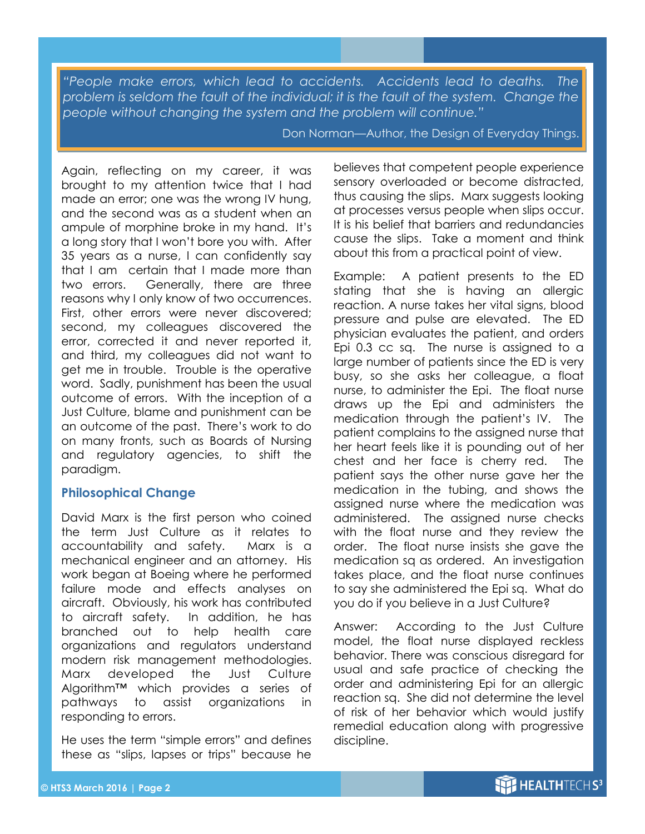*"People make errors, which lead to accidents. Accidents lead to deaths. The problem is seldom the fault of the individual; it is the fault of the system. Change the people without changing the system and the problem will continue."*

Don Norman—Author, the Design of Everyday Things.

Again, reflecting on my career, it was brought to my attention twice that I had made an error; one was the wrong IV hung, and the second was as a student when an ampule of morphine broke in my hand. It's a long story that I won't bore you with. After 35 years as a nurse, I can confidently say that I am certain that I made more than two errors. Generally, there are three reasons why I only know of two occurrences. First, other errors were never discovered; second, my colleagues discovered the error, corrected it and never reported it, and third, my colleagues did not want to get me in trouble. Trouble is the operative word. Sadly, punishment has been the usual outcome of errors. With the inception of a Just Culture, blame and punishment can be an outcome of the past. There's work to do on many fronts, such as Boards of Nursing and regulatory agencies, to shift the paradigm.

#### **Philosophical Change**

David Marx is the first person who coined the term Just Culture as it relates to accountability and safety. Marx is a mechanical engineer and an attorney. His work began at Boeing where he performed failure mode and effects analyses on aircraft. Obviously, his work has contributed to aircraft safety. In addition, he has branched out to help health care organizations and regulators understand modern risk management methodologies. Marx developed the Just Culture Algorithm™ which provides a series of pathways to assist organizations in responding to errors.

He uses the term "simple errors" and defines these as "slips, lapses or trips" because he

believes that competent people experience sensory overloaded or become distracted, thus causing the slips. Marx suggests looking at processes versus people when slips occur. It is his belief that barriers and redundancies cause the slips. Take a moment and think about this from a practical point of view.

Example: A patient presents to the ED stating that she is having an allergic reaction. A nurse takes her vital signs, blood pressure and pulse are elevated. The ED physician evaluates the patient, and orders Epi 0.3 cc sq. The nurse is assigned to a large number of patients since the ED is very busy, so she asks her colleague, a float nurse, to administer the Epi. The float nurse draws up the Epi and administers the medication through the patient's IV. The patient complains to the assigned nurse that her heart feels like it is pounding out of her chest and her face is cherry red. The patient says the other nurse gave her the medication in the tubing, and shows the assigned nurse where the medication was administered. The assigned nurse checks with the float nurse and they review the order. The float nurse insists she gave the medication sq as ordered. An investigation takes place, and the float nurse continues to say she administered the Epi sq. What do you do if you believe in a Just Culture?

Answer: According to the Just Culture model, the float nurse displayed reckless behavior. There was conscious disregard for usual and safe practice of checking the order and administering Epi for an allergic reaction sq. She did not determine the level of risk of her behavior which would justify remedial education along with progressive discipline.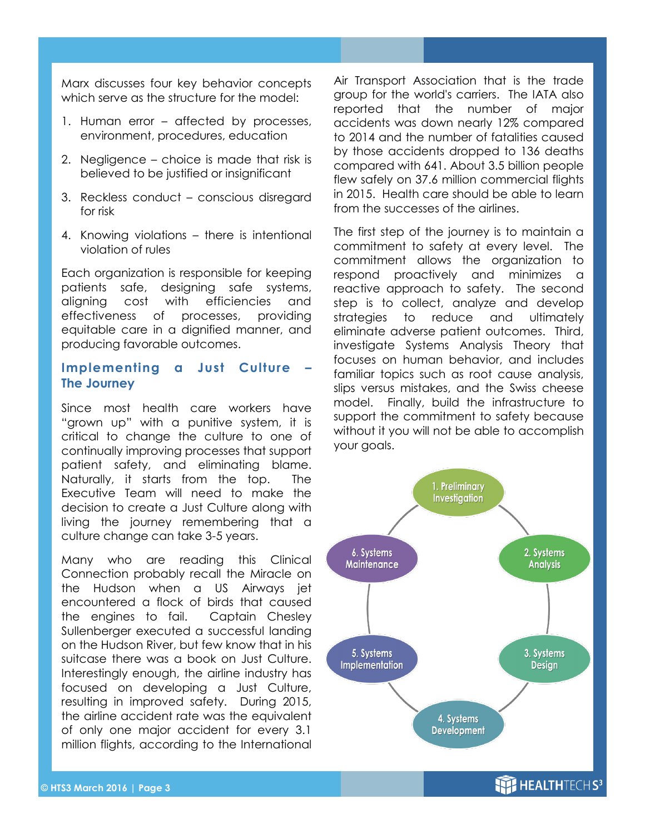Marx discusses four key behavior concepts which serve as the structure for the model:

- 1. Human error affected by processes, environment, procedures, education
- 2. Negligence choice is made that risk is believed to be justified or insignificant
- 3. Reckless conduct conscious disregard for risk
- 4. Knowing violations there is intentional violation of rules

Each organization is responsible for keeping patients safe, designing safe systems, aligning cost with efficiencies and effectiveness of processes, providing equitable care in a dignified manner, and producing favorable outcomes.

### **Implementing a Just Culture – The Journey**

Since most health care workers have "grown up" with a punitive system, it is critical to change the culture to one of continually improving processes that support patient safety, and eliminating blame. Naturally, it starts from the top. The Executive Team will need to make the decision to create a Just Culture along with living the journey remembering that a culture change can take 3-5 years.

Many who are reading this Clinical Connection probably recall the Miracle on the Hudson when a US Airways jet encountered a flock of birds that caused the engines to fail. Captain Chesley Sullenberger executed a successful landing on the Hudson River, but few know that in his suitcase there was a book on Just Culture. Interestingly enough, the airline industry has focused on developing a Just Culture, resulting in improved safety. During 2015, the airline accident rate was the equivalent of only one major accident for every 3.1 million flights, according to the International

Air Transport Association that is the trade group for the world's carriers. The IATA also reported that the number of major accidents was down nearly 12% compared to 2014 and the number of fatalities caused by those accidents dropped to 136 deaths compared with 641. About 3.5 billion people flew safely on 37.6 million commercial flights in 2015. Health care should be able to learn from the successes of the airlines.

The first step of the journey is to maintain a commitment to safety at every level. The commitment allows the organization to respond proactively and minimizes a reactive approach to safety. The second step is to collect, analyze and develop strategies to reduce and ultimately eliminate adverse patient outcomes. Third, investigate Systems Analysis Theory that focuses on human behavior, and includes familiar topics such as root cause analysis, slips versus mistakes, and the Swiss cheese model. Finally, build the infrastructure to support the commitment to safety because without it you will not be able to accomplish your goals.